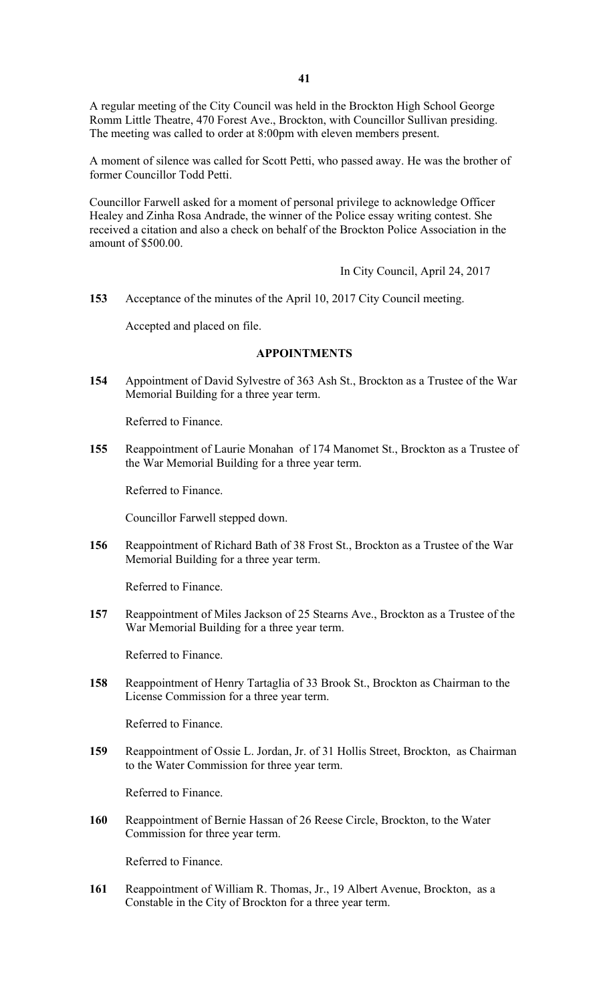A regular meeting of the City Council was held in the Brockton High School George Romm Little Theatre, 470 Forest Ave., Brockton, with Councillor Sullivan presiding. The meeting was called to order at 8:00pm with eleven members present.

A moment of silence was called for Scott Petti, who passed away. He was the brother of former Councillor Todd Petti.

Councillor Farwell asked for a moment of personal privilege to acknowledge Officer Healey and Zinha Rosa Andrade, the winner of the Police essay writing contest. She received a citation and also a check on behalf of the Brockton Police Association in the amount of \$500.00.

In City Council, April 24, 2017

**153** Acceptance of the minutes of the April 10, 2017 City Council meeting.

Accepted and placed on file.

# **APPOINTMENTS**

**154** Appointment of David Sylvestre of 363 Ash St., Brockton as a Trustee of the War Memorial Building for a three year term.

Referred to Finance.

**155** Reappointment of Laurie Monahan of 174 Manomet St., Brockton as a Trustee of the War Memorial Building for a three year term.

Referred to Finance.

Councillor Farwell stepped down.

**156** Reappointment of Richard Bath of 38 Frost St., Brockton as a Trustee of the War Memorial Building for a three year term.

Referred to Finance.

**157** Reappointment of Miles Jackson of 25 Stearns Ave., Brockton as a Trustee of the War Memorial Building for a three year term.

Referred to Finance.

**158** Reappointment of Henry Tartaglia of 33 Brook St., Brockton as Chairman to the License Commission for a three year term.

Referred to Finance.

**159** Reappointment of Ossie L. Jordan, Jr. of 31 Hollis Street, Brockton, as Chairman to the Water Commission for three year term.

Referred to Finance.

**160** Reappointment of Bernie Hassan of 26 Reese Circle, Brockton, to the Water Commission for three year term.

Referred to Finance.

**161** Reappointment of William R. Thomas, Jr., 19 Albert Avenue, Brockton, as a Constable in the City of Brockton for a three year term.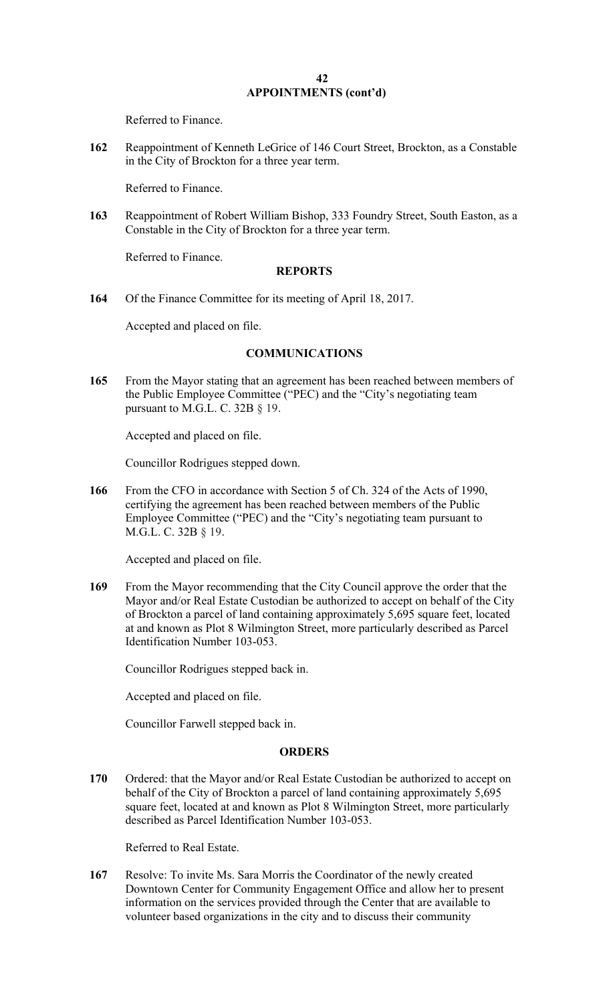Referred to Finance.

**162** Reappointment of Kenneth LeGrice of 146 Court Street, Brockton, as a Constable in the City of Brockton for a three year term.

Referred to Finance.

**163** Reappointment of Robert William Bishop, 333 Foundry Street, South Easton, as a Constable in the City of Brockton for a three year term.

Referred to Finance.

#### **REPORTS**

**164** Of the Finance Committee for its meeting of April 18, 2017.

Accepted and placed on file.

### **COMMUNICATIONS**

**165** From the Mayor stating that an agreement has been reached between members of the Public Employee Committee ("PEC) and the "City's negotiating team pursuant to M.G.L. C. 32B § 19.

Accepted and placed on file.

Councillor Rodrigues stepped down.

**166** From the CFO in accordance with Section 5 of Ch. 324 of the Acts of 1990, certifying the agreement has been reached between members of the Public Employee Committee ("PEC) and the "City's negotiating team pursuant to M.G.L. C. 32B § 19.

Accepted and placed on file.

**169** From the Mayor recommending that the City Council approve the order that the Mayor and/or Real Estate Custodian be authorized to accept on behalf of the City of Brockton a parcel of land containing approximately 5,695 square feet, located at and known as Plot 8 Wilmington Street, more particularly described as Parcel Identification Number 103-053.

Councillor Rodrigues stepped back in.

Accepted and placed on file.

Councillor Farwell stepped back in.

### **ORDERS**

**170** Ordered: that the Mayor and/or Real Estate Custodian be authorized to accept on behalf of the City of Brockton a parcel of land containing approximately 5,695 square feet, located at and known as Plot 8 Wilmington Street, more particularly described as Parcel Identification Number 103-053.

Referred to Real Estate.

**167** Resolve: To invite Ms. Sara Morris the Coordinator of the newly created Downtown Center for Community Engagement Office and allow her to present information on the services provided through the Center that are available to volunteer based organizations in the city and to discuss their community